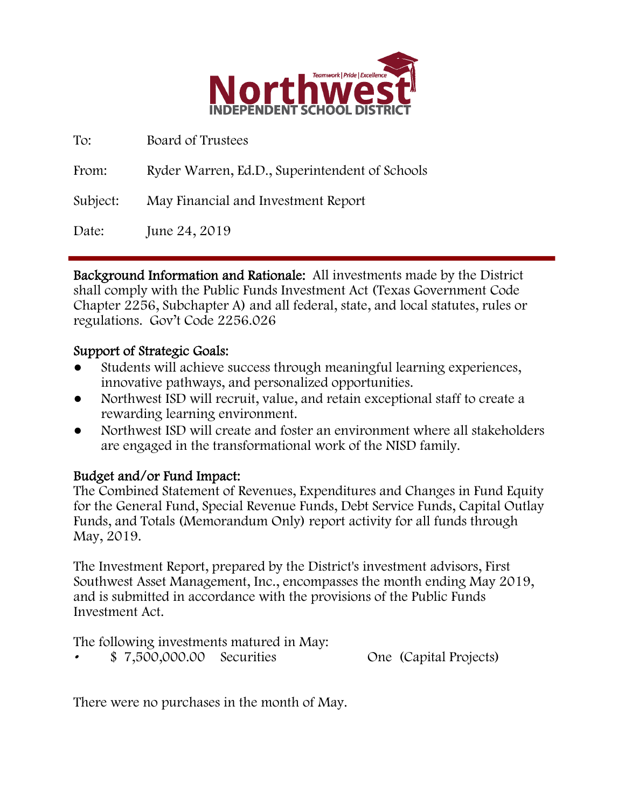

| To:      | Board of Trustees                              |
|----------|------------------------------------------------|
| From:    | Ryder Warren, Ed.D., Superintendent of Schools |
| Subject: | May Financial and Investment Report            |
| Date:    | June 24, 2019                                  |

Background Information and Rationale: All investments made by the District shall comply with the Public Funds Investment Act (Texas Government Code Chapter 2256, Subchapter A) and all federal, state, and local statutes, rules or regulations. Gov't Code 2256.026

### Support of Strategic Goals:

- Students will achieve success through meaningful learning experiences, innovative pathways, and personalized opportunities.
- Northwest ISD will recruit, value, and retain exceptional staff to create a rewarding learning environment.
- Northwest ISD will create and foster an environment where all stakeholders are engaged in the transformational work of the NISD family.

### Budget and/or Fund Impact:

The Combined Statement of Revenues, Expenditures and Changes in Fund Equity for the General Fund, Special Revenue Funds, Debt Service Funds, Capital Outlay Funds, and Totals (Memorandum Only) report activity for all funds through May, 2019.

The Investment Report, prepared by the District's investment advisors, First Southwest Asset Management, Inc., encompasses the month ending May 2019, and is submitted in accordance with the provisions of the Public Funds Investment Act.

The following investments matured in May: • \$ 7,500,000.00 Securities One (Capital Projects)

There were no purchases in the month of May.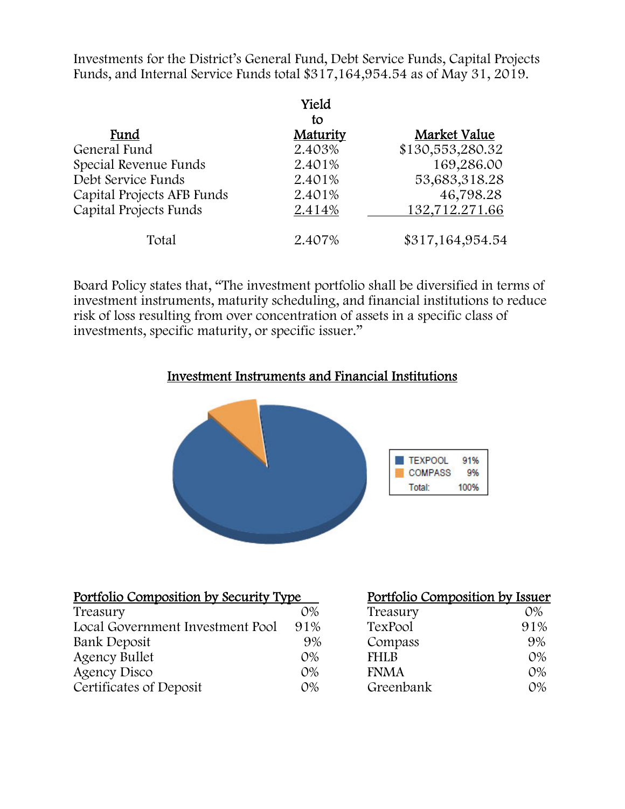Investments for the District's General Fund, Debt Service Funds, Capital Projects Funds, and Internal Service Funds total \$317,164,954.54 as of May 31, 2019.

|                            | Yield<br>to |                  |
|----------------------------|-------------|------------------|
| Fund                       | Maturity    | Market Value     |
| General Fund               | 2.403%      | \$130,553,280.32 |
| Special Revenue Funds      | 2.401%      | 169,286.00       |
| Debt Service Funds         | 2.401%      | 53,683,318.28    |
| Capital Projects AFB Funds | 2.401%      | 46,798.28        |
| Capital Projects Funds     | 2.414%      | 132,712.271.66   |
| Total                      | 2.407%      | \$317,164,954.54 |

Board Policy states that, "The investment portfolio shall be diversified in terms of investment instruments, maturity scheduling, and financial institutions to reduce risk of loss resulting from over concentration of assets in a specific class of investments, specific maturity, or specific issuer."

#### Investment Instruments and Financial Institutions



| Portfolio Composition by Security Type |       | Portfolio Composition by Issuer |       |
|----------------------------------------|-------|---------------------------------|-------|
| Treasury                               | $O\%$ | Treasury                        | $O\%$ |
| Local Government Investment Pool       | 91%   | TexPool                         | 91%   |
| Bank Deposit                           | 9%    | Compass                         | 9%    |
| <b>Agency Bullet</b>                   | $O\%$ | <b>FHLB</b>                     | $O\%$ |
| Agency Disco                           | $O\%$ | <b>FNMA</b>                     | $O\%$ |
| Certificates of Deposit                | $O\%$ | Greenbank                       | $O\%$ |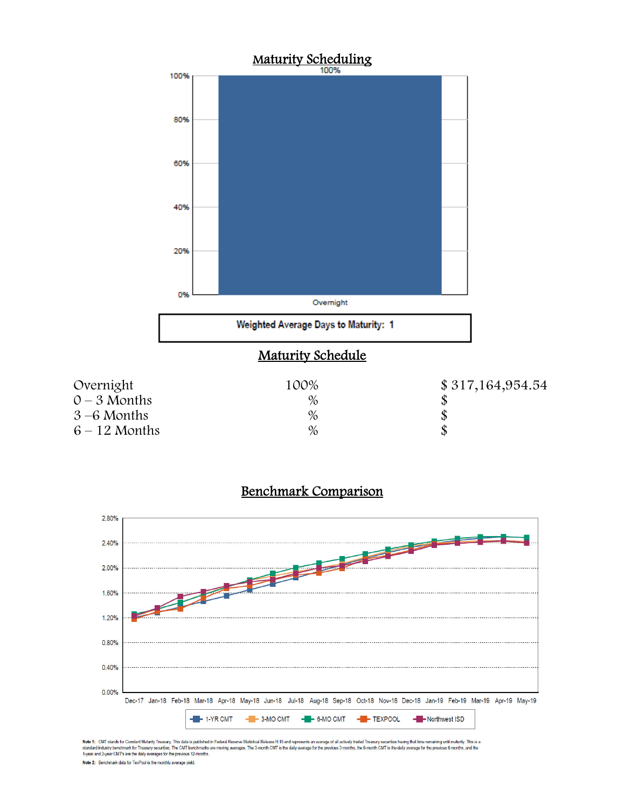





Note 1: CMT stands for Constant Maturity Treasury. This data is published in Federal Reserve Statistical Release H.15 and represents an average of all actively baded Treasury securities having that time remaining until mat

Note 2: Benchmark data for TexPool is the monthly average yield.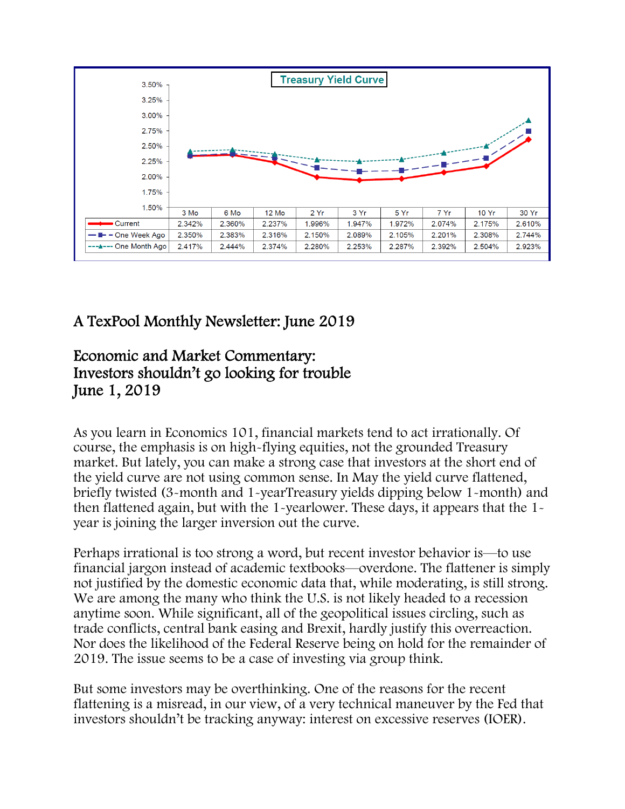

# A TexPool Monthly Newsletter: June 2019

## Economic and Market Commentary: Investors shouldn't go looking for trouble June 1, 2019

As you learn in Economics 101, financial markets tend to act irrationally. Of course, the emphasis is on high-flying equities, not the grounded Treasury market. But lately, you can make a strong case that investors at the short end of the yield curve are not using common sense. In May the yield curve flattened, briefly twisted (3-month and 1-yearTreasury yields dipping below 1-month) and then flattened again, but with the 1-yearlower. These days, it appears that the 1 year is joining the larger inversion out the curve.

Perhaps irrational is too strong a word, but recent investor behavior is—to use financial jargon instead of academic textbooks—overdone. The flattener is simply not justified by the domestic economic data that, while moderating, is still strong. We are among the many who think the U.S. is not likely headed to a recession anytime soon. While significant, all of the geopolitical issues circling, such as trade conflicts, central bank easing and Brexit, hardly justify this overreaction. Nor does the likelihood of the Federal Reserve being on hold for the remainder of 2019. The issue seems to be a case of investing via group think.

But some investors may be overthinking. One of the reasons for the recent flattening is a misread, in our view, of a very technical maneuver by the Fed that investors shouldn't be tracking anyway: interest on excessive reserves (IOER).